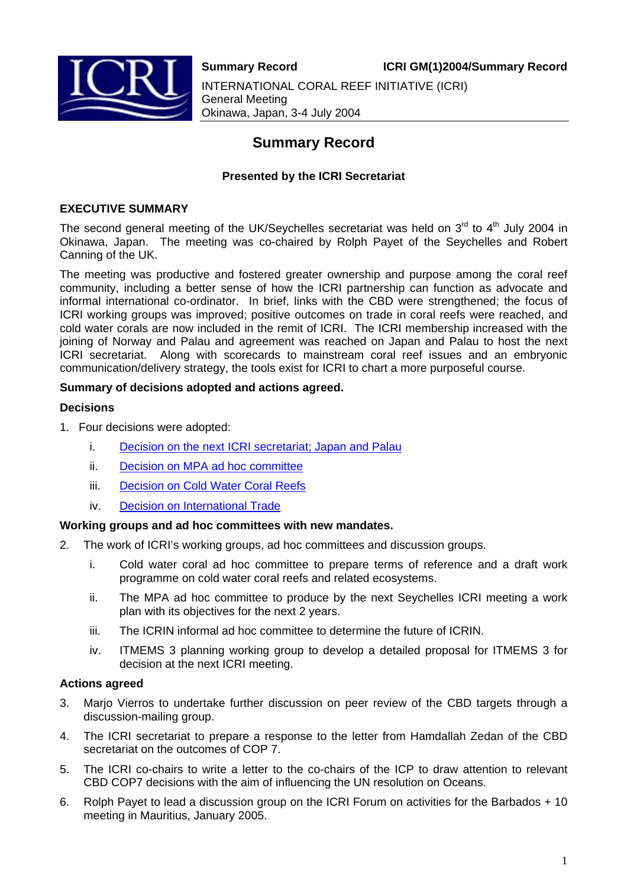

**Summary Record ICRI GM(1)2004/Summary Record** INTERNATIONAL CORAL REEF INITIATIVE (ICRI) General Meeting Okinawa, Japan, 3-4 July 2004

# **Summary Record**

# **Presented by the ICRI Secretariat**

### **EXECUTIVE SUMMARY**

The second general meeting of the UK/Seychelles secretariat was held on 3<sup>rd</sup> to 4<sup>th</sup> July 2004 in Okinawa, Japan. The meeting was co-chaired by Rolph Payet of the Seychelles and Robert Canning of the UK.

The meeting was productive and fostered greater ownership and purpose among the coral reef community, including a better sense of how the ICRI partnership can function as advocate and informal international co-ordinator. In brief, links with the CBD were strengthened; the focus of ICRI working groups was improved; positive outcomes on trade in coral reefs were reached, and cold water corals are now included in the remit of ICRI. The ICRI membership increased with the joining of Norway and Palau and agreement was reached on Japan and Palau to host the next ICRI secretariat. Along with scorecards to mainstream coral reef issues and an embryonic communication/delivery strategy, the tools exist for ICRI to chart a more purposeful course.

### **Summary of decisions adopted and actions agreed.**

#### **Decisions**

- 1. Four decisions were adopted:
	- i. [Decision on the next ICRI secretariat; Japan and Palau](http://www.icriforum.org/secretariat/okidoc/Decision_secretariat07_2004.pdf)
	- ii. [Decision on MPA ad hoc committee](http://www.icriforum.org/secretariat/okidoc/decision_MPA07_2004.pdf)
	- iii. [Decision on Cold Water Coral Reefs](http://www.icriforum.org/secretariat/okidoc/Decision_Cold_water_corals07_2004.pdf)
	- iv. [Decision on International Trade](http://www.icriforum.org/secretariat/okidoc/Decision_International_Trade07_2004.pdf)

#### **Working groups and ad hoc committees with new mandates.**

- 2. The work of ICRI's working groups, ad hoc committees and discussion groups.
	- i. Cold water coral ad hoc committee to prepare terms of reference and a draft work programme on cold water coral reefs and related ecosystems.
	- ii. The MPA ad hoc committee to produce by the next Seychelles ICRI meeting a work plan with its objectives for the next 2 years.
	- iii. The ICRIN informal ad hoc committee to determine the future of ICRIN.
	- iv. ITMEMS 3 planning working group to develop a detailed proposal for ITMEMS 3 for decision at the next ICRI meeting.

#### **Actions agreed**

- 3. Marjo Vierros to undertake further discussion on peer review of the CBD targets through a discussion-mailing group.
- 4. The ICRI secretariat to prepare a response to the letter from Hamdallah Zedan of the CBD secretariat on the outcomes of COP 7.
- 5. The ICRI co-chairs to write a letter to the co-chairs of the ICP to draw attention to relevant CBD COP7 decisions with the aim of influencing the UN resolution on Oceans.
- 6. Rolph Payet to lead a discussion group on the ICRI Forum on activities for the Barbados + 10 meeting in Mauritius, January 2005.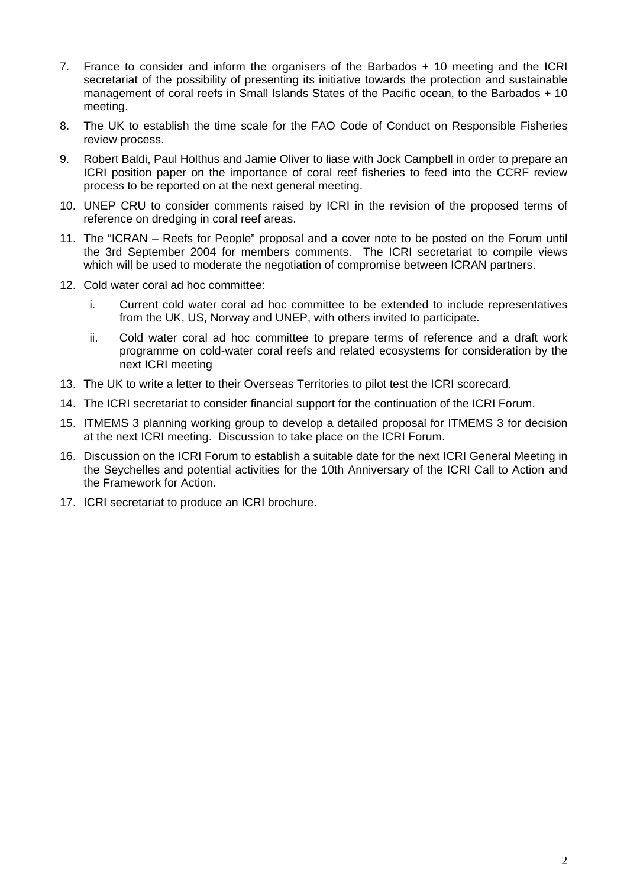- 7. France to consider and inform the organisers of the Barbados + 10 meeting and the ICRI secretariat of the possibility of presenting its initiative towards the protection and sustainable management of coral reefs in Small Islands States of the Pacific ocean, to the Barbados + 10 meeting.
- 8. The UK to establish the time scale for the FAO Code of Conduct on Responsible Fisheries review process.
- 9. Robert Baldi, Paul Holthus and Jamie Oliver to liase with Jock Campbell in order to prepare an ICRI position paper on the importance of coral reef fisheries to feed into the CCRF review process to be reported on at the next general meeting.
- 10. UNEP CRU to consider comments raised by ICRI in the revision of the proposed terms of reference on dredging in coral reef areas.
- 11. The "ICRAN Reefs for People" proposal and a cover note to be posted on the Forum until the 3rd September 2004 for members comments. The ICRI secretariat to compile views which will be used to moderate the negotiation of compromise between ICRAN partners.
- 12. Cold water coral ad hoc committee:
	- i. Current cold water coral ad hoc committee to be extended to include representatives from the UK, US, Norway and UNEP, with others invited to participate.
	- ii. Cold water coral ad hoc committee to prepare terms of reference and a draft work programme on cold-water coral reefs and related ecosystems for consideration by the next ICRI meeting
- 13. The UK to write a letter to their Overseas Territories to pilot test the ICRI scorecard.
- 14. The ICRI secretariat to consider financial support for the continuation of the ICRI Forum.
- 15. ITMEMS 3 planning working group to develop a detailed proposal for ITMEMS 3 for decision at the next ICRI meeting. Discussion to take place on the ICRI Forum.
- 16. Discussion on the ICRI Forum to establish a suitable date for the next ICRI General Meeting in the Seychelles and potential activities for the 10th Anniversary of the ICRI Call to Action and the Framework for Action.
- 17. ICRI secretariat to produce an ICRI brochure.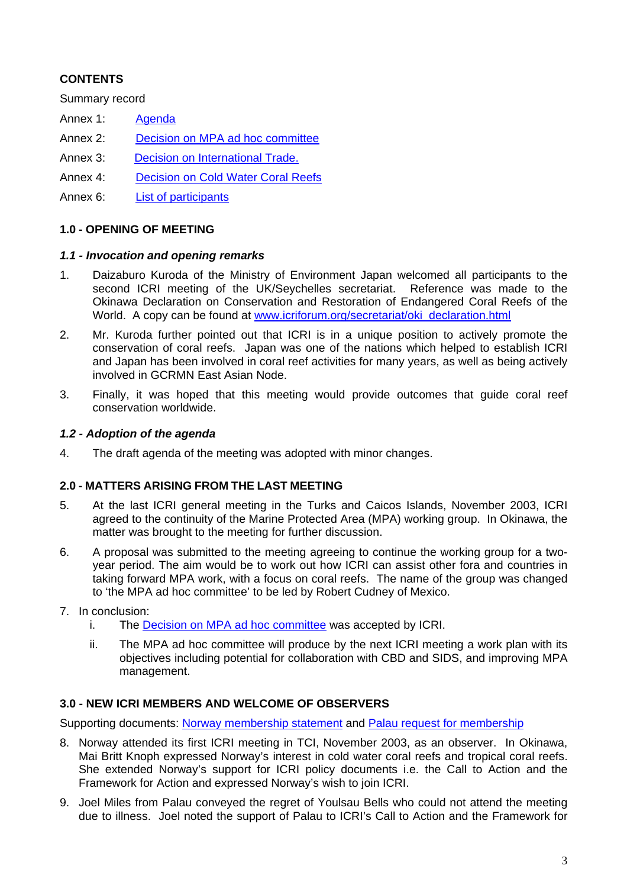# **CONTENTS**

Summary record

- Annex 1: [Agenda](http://www.icriforum.org/secretariat/cpc_oki_draft_agenda.html)
- Annex 2: [Decision on MPA ad hoc committee](http://www.icriforum.org/secretariat/okidoc/decision_MPA07_2004.pdf)
- Annex 3: [Decision on International Trade](http://www.icriforum.org/secretariat/okidoc/Decision_International_Trade07_2004.pdf).
- Annex 4: [Decision on Cold Water Coral Reefs](http://www.icriforum.org/secretariat/okidoc/Decision_Cold_water_corals07_2004.pdf)
- Annex 6: [List of participants](http://www.icriforum.org/secretariat/okidoc/list_participants07_2004.pdf)

### **1.0 - OPENING OF MEETING**

#### *1.1 - Invocation and opening remarks*

- 1. Daizaburo Kuroda of the Ministry of Environment Japan welcomed all participants to the second ICRI meeting of the UK/Seychelles secretariat. Reference was made to the Okinawa Declaration on Conservation and Restoration of Endangered Coral Reefs of the World. A copy can be found at [www.icriforum.org/secretariat/oki\\_declaration.html](http://www.icriforum.org/secretariat/oki_declaration.html)
- 2. Mr. Kuroda further pointed out that ICRI is in a unique position to actively promote the conservation of coral reefs. Japan was one of the nations which helped to establish ICRI and Japan has been involved in coral reef activities for many years, as well as being actively involved in GCRMN East Asian Node.
- 3. Finally, it was hoped that this meeting would provide outcomes that guide coral reef conservation worldwide.

### *1.2 - Adoption of the agenda*

4. The draft agenda of the meeting was adopted with minor changes.

#### **2.0 - MATTERS ARISING FROM THE LAST MEETING**

- 5. At the last ICRI general meeting in the Turks and Caicos Islands, November 2003, ICRI agreed to the continuity of the Marine Protected Area (MPA) working group. In Okinawa, the matter was brought to the meeting for further discussion.
- 6. A proposal was submitted to the meeting agreeing to continue the working group for a twoyear period. The aim would be to work out how ICRI can assist other fora and countries in taking forward MPA work, with a focus on coral reefs. The name of the group was changed to 'the MPA ad hoc committee' to be led by Robert Cudney of Mexico.
- 7. In conclusion:
	- i. The [Decision on MPA ad hoc committee](http://www.icriforum.org/secretariat/okidoc/decision_MPA07_2004.pdf) was accepted by ICRI.
	- ii. The MPA ad hoc committee will produce by the next ICRI meeting a work plan with its objectives including potential for collaboration with CBD and SIDS, and improving MPA management.

#### **3.0 - NEW ICRI MEMBERS AND WELCOME OF OBSERVERS**

Supporting documents: [Norway membership statement](http://www.icriforum.org/secretariat/okidoc/Norway_membership_statement.pdf) and [Palau request for membership](http://www.icriforum.org/secretariat/okidoc/Palau_membership_statement.pdf)

- 8. Norway attended its first ICRI meeting in TCI, November 2003, as an observer. In Okinawa, Mai Britt Knoph expressed Norway's interest in cold water coral reefs and tropical coral reefs. She extended Norway's support for ICRI policy documents i.e. the Call to Action and the Framework for Action and expressed Norway's wish to join ICRI.
- 9. Joel Miles from Palau conveyed the regret of Youlsau Bells who could not attend the meeting due to illness. Joel noted the support of Palau to ICRI's Call to Action and the Framework for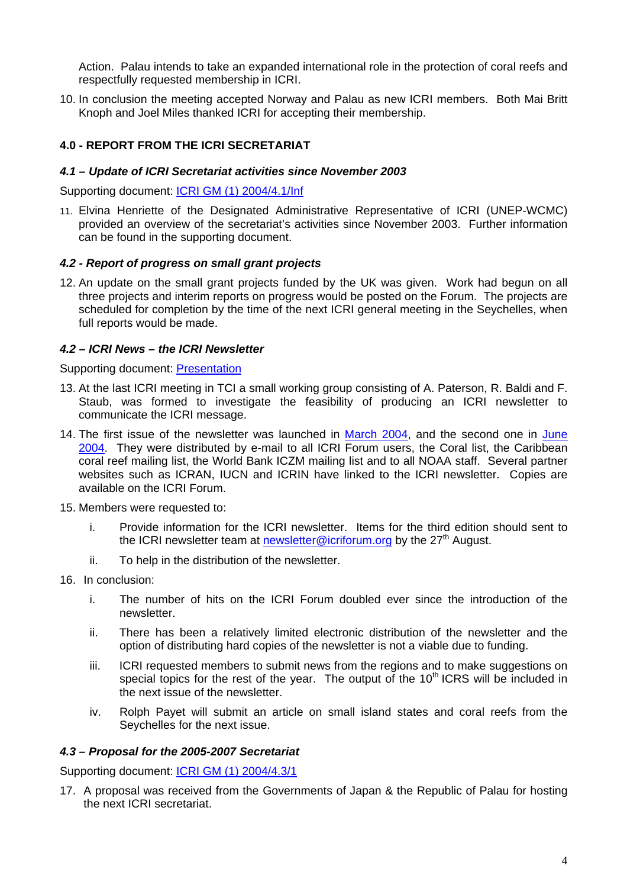Action. Palau intends to take an expanded international role in the protection of coral reefs and respectfully requested membership in ICRI.

10. In conclusion the meeting accepted Norway and Palau as new ICRI members. Both Mai Britt Knoph and Joel Miles thanked ICRI for accepting their membership.

# **4.0 - REPORT FROM THE ICRI SECRETARIAT**

#### *4.1 – Update of ICRI Secretariat activities since November 2003*

Supporting document: [ICRI GM \(1\) 2004/4.1/Inf](http://www.icriforum.org/secretariat/okidoc/41_ICRI_Activities.pdf)

11. Elvina Henriette of the Designated Administrative Representative of ICRI (UNEP-WCMC) provided an overview of the secretariat's activities since November 2003. Further information can be found in the supporting document.

#### *4.2 - Report of progress on small grant projects*

12. An update on the small grant projects funded by the UK was given. Work had begun on all three projects and interim reports on progress would be posted on the Forum. The projects are scheduled for completion by the time of the next ICRI general meeting in the Seychelles, when full reports would be made.

#### *4.2 – ICRI News – the ICRI Newsletter*

Supporting document: [Presentation](http://www.icriforum.org/secretariat/okidoc/ICRI_news_ppt.ppt)

- 13. At the last ICRI meeting in TCI a small working group consisting of A. Paterson, R. Baldi and F. Staub, was formed to investigate the feasibility of producing an ICRI newsletter to communicate the ICRI message.
- 14. The first issue of the newsletter was launched in [March 2004](http://www.icriforum.org/newsletter/newsletter.html), and the second one in [June](http://www.icriforum.org/newsletter/icrinews2.html) [2004](http://www.icriforum.org/newsletter/icrinews2.html). They were distributed by e-mail to all ICRI Forum users, the Coral list, the Caribbean coral reef mailing list, the World Bank ICZM mailing list and to all NOAA staff. Several partner websites such as ICRAN, IUCN and ICRIN have linked to the ICRI newsletter. Copies are available on the ICRI Forum.
- 15. Members were requested to:
	- i. Provide information for the ICRI newsletter. Items for the third edition should sent to the ICRI newsletter team at [newsletter@icriforum.org](mailto:newsletter@icriforum.org) by the  $27<sup>th</sup>$  August.
	- ii. To help in the distribution of the newsletter.
- 16. In conclusion:
	- i. The number of hits on the ICRI Forum doubled ever since the introduction of the newsletter.
	- ii. There has been a relatively limited electronic distribution of the newsletter and the option of distributing hard copies of the newsletter is not a viable due to funding.
	- iii. ICRI requested members to submit news from the regions and to make suggestions on special topics for the rest of the year. The output of the  $10<sup>th</sup> ICRS$  will be included in the next issue of the newsletter.
	- iv. Rolph Payet will submit an article on small island states and coral reefs from the Seychelles for the next issue.

#### *4.3 – Proposal for the 2005-2007 Secretariat*

Supporting document: [ICRI GM \(1\) 2004/4.3/1](http://www.icriforum.org/secretariat/okidoc/43_Japan_secretariat.pdf)

17. A proposal was received from the Governments of Japan & the Republic of Palau for hosting the next ICRI secretariat.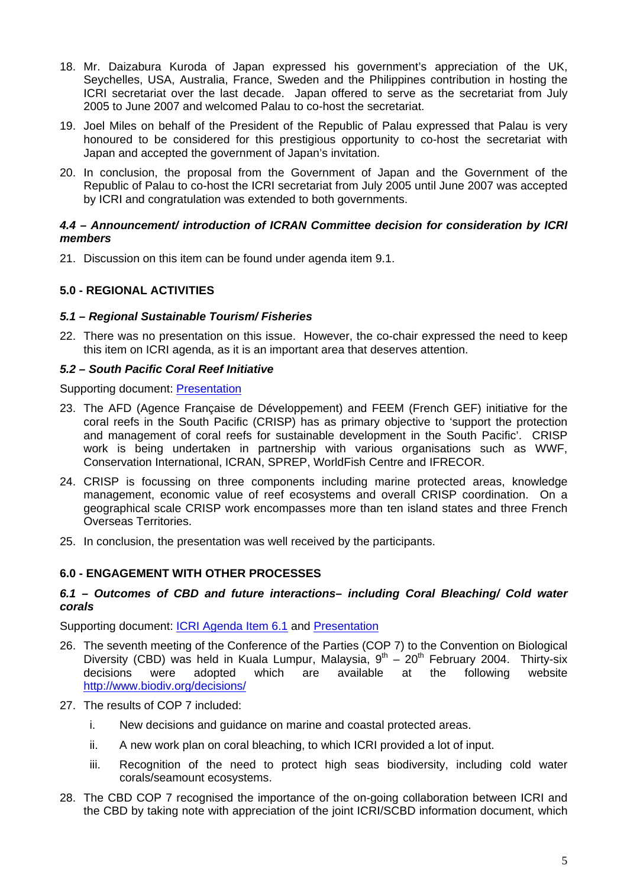- 18. Mr. Daizabura Kuroda of Japan expressed his government's appreciation of the UK, Seychelles, USA, Australia, France, Sweden and the Philippines contribution in hosting the ICRI secretariat over the last decade. Japan offered to serve as the secretariat from July 2005 to June 2007 and welcomed Palau to co-host the secretariat.
- 19. Joel Miles on behalf of the President of the Republic of Palau expressed that Palau is very honoured to be considered for this prestigious opportunity to co-host the secretariat with Japan and accepted the government of Japan's invitation.
- 20. In conclusion, the proposal from the Government of Japan and the Government of the Republic of Palau to co-host the ICRI secretariat from July 2005 until June 2007 was accepted by ICRI and congratulation was extended to both governments.

### *4.4 – Announcement/ introduction of ICRAN Committee decision for consideration by ICRI members*

21. Discussion on this item can be found under agenda item 9.1.

### **5.0 - REGIONAL ACTIVITIES**

#### *5.1 – Regional Sustainable Tourism/ Fisheries*

22. There was no presentation on this issue. However, the co-chair expressed the need to keep this item on ICRI agenda, as it is an important area that deserves attention.

#### *5.2 – South Pacific Coral Reef Initiative*

Supporting document: [Presentation](http://www.icriforum.org/secretariat/okidoc/AFD_CRISP.ppt)

- 23. The AFD (Agence Française de Développement) and FEEM (French GEF) initiative for the coral reefs in the South Pacific (CRISP) has as primary objective to 'support the protection and management of coral reefs for sustainable development in the South Pacific'. CRISP work is being undertaken in partnership with various organisations such as WWF, Conservation International, ICRAN, SPREP, WorldFish Centre and IFRECOR.
- 24. CRISP is focussing on three components including marine protected areas, knowledge management, economic value of reef ecosystems and overall CRISP coordination. On a geographical scale CRISP work encompasses more than ten island states and three French Overseas Territories.
- 25. In conclusion, the presentation was well received by the participants.

#### **6.0 - ENGAGEMENT WITH OTHER PROCESSES**

#### *6.1 – Outcomes of CBD and future interactions– including Coral Bleaching/ Cold water corals*

Supporting document: [ICRI Agenda Item 6.1](http://www.icriforum.org/secretariat/okidoc/61_CBD.pdf) and [Presentation](http://www.icriforum.org/secretariat/okidoc/CBD_ICRI.ppt)

- 26. The seventh meeting of the Conference of the Parties (COP 7) to the Convention on Biological Diversity (CBD) was held in Kuala Lumpur, Malaysia,  $9^{th} - 20^{th}$  February 2004. Thirty-six decisions were adopted which are available at the following website <http://www.biodiv.org/decisions/>
- 27. The results of COP 7 included:
	- i. New decisions and guidance on marine and coastal protected areas.
	- ii. A new work plan on coral bleaching, to which ICRI provided a lot of input.
	- iii. Recognition of the need to protect high seas biodiversity, including cold water corals/seamount ecosystems.
- 28. The CBD COP 7 recognised the importance of the on-going collaboration between ICRI and the CBD by taking note with appreciation of the joint ICRI/SCBD information document, which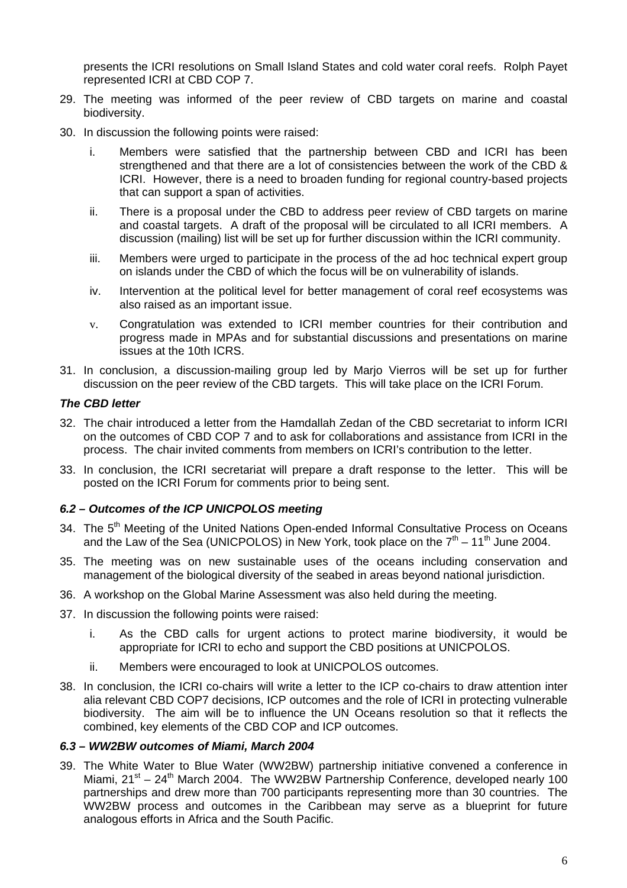presents the ICRI resolutions on Small Island States and cold water coral reefs. Rolph Payet represented ICRI at CBD COP 7.

- 29. The meeting was informed of the peer review of CBD targets on marine and coastal biodiversity.
- 30. In discussion the following points were raised:
	- i. Members were satisfied that the partnership between CBD and ICRI has been strengthened and that there are a lot of consistencies between the work of the CBD & ICRI. However, there is a need to broaden funding for regional country-based projects that can support a span of activities.
	- ii. There is a proposal under the CBD to address peer review of CBD targets on marine and coastal targets. A draft of the proposal will be circulated to all ICRI members. A discussion (mailing) list will be set up for further discussion within the ICRI community.
	- iii. Members were urged to participate in the process of the ad hoc technical expert group on islands under the CBD of which the focus will be on vulnerability of islands.
	- iv. Intervention at the political level for better management of coral reef ecosystems was also raised as an important issue.
	- v. Congratulation was extended to ICRI member countries for their contribution and progress made in MPAs and for substantial discussions and presentations on marine issues at the 10th ICRS.
- 31. In conclusion, a discussion-mailing group led by Marjo Vierros will be set up for further discussion on the peer review of the CBD targets. This will take place on the ICRI Forum.

#### *The CBD letter*

- 32. The chair introduced a letter from the Hamdallah Zedan of the CBD secretariat to inform ICRI on the outcomes of CBD COP 7 and to ask for collaborations and assistance from ICRI in the process. The chair invited comments from members on ICRI's contribution to the letter.
- 33. In conclusion, the ICRI secretariat will prepare a draft response to the letter. This will be posted on the ICRI Forum for comments prior to being sent.

#### *6.2 – Outcomes of the ICP UNICPOLOS meeting*

- 34. The 5<sup>th</sup> Meeting of the United Nations Open-ended Informal Consultative Process on Oceans and the Law of the Sea (UNICPOLOS) in New York, took place on the  $7<sup>th</sup> - 11<sup>th</sup>$  June 2004.
- 35. The meeting was on new sustainable uses of the oceans including conservation and management of the biological diversity of the seabed in areas beyond national jurisdiction.
- 36. A workshop on the Global Marine Assessment was also held during the meeting.
- 37. In discussion the following points were raised:
	- i. As the CBD calls for urgent actions to protect marine biodiversity, it would be appropriate for ICRI to echo and support the CBD positions at UNICPOLOS.
	- ii. Members were encouraged to look at UNICPOLOS outcomes.
- 38. In conclusion, the ICRI co-chairs will write a letter to the ICP co-chairs to draw attention inter alia relevant CBD COP7 decisions, ICP outcomes and the role of ICRI in protecting vulnerable biodiversity. The aim will be to influence the UN Oceans resolution so that it reflects the combined, key elements of the CBD COP and ICP outcomes.

#### *6.3 – WW2BW outcomes of Miami, March 2004*

39. The White Water to Blue Water (WW2BW) partnership initiative convened a conference in Miami,  $21^{st} - 24^{th}$  March 2004. The WW2BW Partnership Conference, developed nearly 100 partnerships and drew more than 700 participants representing more than 30 countries. The WW2BW process and outcomes in the Caribbean may serve as a blueprint for future analogous efforts in Africa and the South Pacific.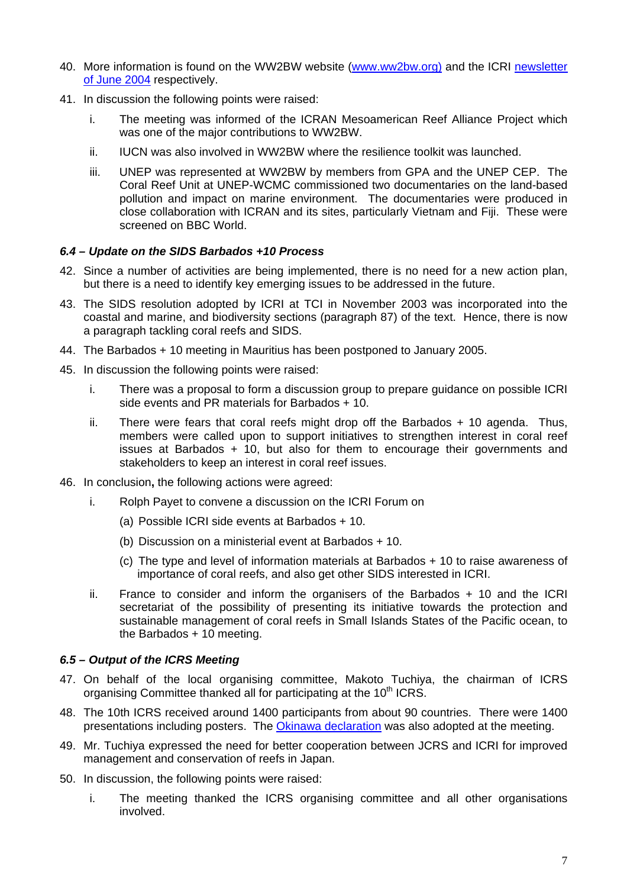- 40. More information is found on the WW2BW website ([www.ww2bw.org\)](http://www.ww2bw.org/) and the ICRI [newsletter](http://www.icriforum.org/newsletter/icrinews2.html)  [of June 2004](http://www.icriforum.org/newsletter/icrinews2.html) respectively.
- 41. In discussion the following points were raised:
	- i. The meeting was informed of the ICRAN Mesoamerican Reef Alliance Project which was one of the major contributions to WW2BW.
	- ii. IUCN was also involved in WW2BW where the resilience toolkit was launched.
	- iii. UNEP was represented at WW2BW by members from GPA and the UNEP CEP. The Coral Reef Unit at UNEP-WCMC commissioned two documentaries on the land-based pollution and impact on marine environment. The documentaries were produced in close collaboration with ICRAN and its sites, particularly Vietnam and Fiji. These were screened on BBC World.

#### *6.4 – Update on the SIDS Barbados +10 Process*

- 42. Since a number of activities are being implemented, there is no need for a new action plan, but there is a need to identify key emerging issues to be addressed in the future.
- 43. The SIDS resolution adopted by ICRI at TCI in November 2003 was incorporated into the coastal and marine, and biodiversity sections (paragraph 87) of the text. Hence, there is now a paragraph tackling coral reefs and SIDS.
- 44. The Barbados + 10 meeting in Mauritius has been postponed to January 2005.
- 45. In discussion the following points were raised:
	- i. There was a proposal to form a discussion group to prepare guidance on possible ICRI side events and PR materials for Barbados + 10.
	- $ii.$  There were fears that coral reefs might drop off the Barbados  $+10$  agenda. Thus, members were called upon to support initiatives to strengthen interest in coral reef issues at Barbados + 10, but also for them to encourage their governments and stakeholders to keep an interest in coral reef issues.
- 46. In conclusion**,** the following actions were agreed:
	- i. Rolph Payet to convene a discussion on the ICRI Forum on
		- (a) Possible ICRI side events at Barbados + 10.
		- (b) Discussion on a ministerial event at Barbados + 10.
		- (c) The type and level of information materials at Barbados + 10 to raise awareness of importance of coral reefs, and also get other SIDS interested in ICRI.
	- ii. France to consider and inform the organisers of the Barbados + 10 and the ICRI secretariat of the possibility of presenting its initiative towards the protection and sustainable management of coral reefs in Small Islands States of the Pacific ocean, to the Barbados + 10 meeting.

### *6.5 – Output of the ICRS Meeting*

- 47. On behalf of the local organising committee, Makoto Tuchiya, the chairman of ICRS organising Committee thanked all for participating at the 10<sup>th</sup> ICRS.
- 48. The 10th ICRS received around 1400 participants from about 90 countries. There were 1400 presentations including posters. The [Okinawa declaration](http://www.icriforum.org/secretariat/oki_declaration.html) was also adopted at the meeting.
- 49. Mr. Tuchiya expressed the need for better cooperation between JCRS and ICRI for improved management and conservation of reefs in Japan.
- 50. In discussion, the following points were raised:
	- i. The meeting thanked the ICRS organising committee and all other organisations involved.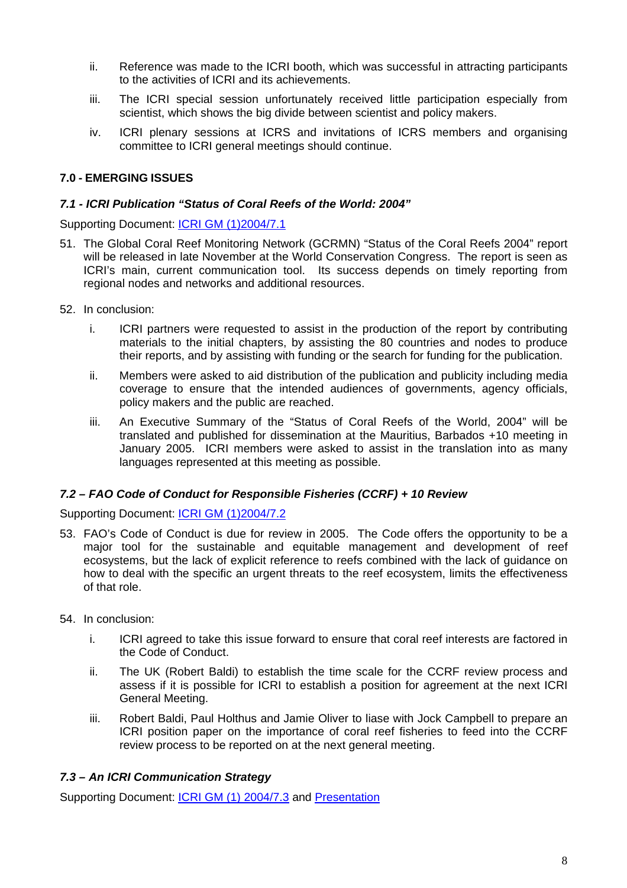- ii. Reference was made to the ICRI booth, which was successful in attracting participants to the activities of ICRI and its achievements.
- iii. The ICRI special session unfortunately received little participation especially from scientist, which shows the big divide between scientist and policy makers.
- iv. ICRI plenary sessions at ICRS and invitations of ICRS members and organising committee to ICRI general meetings should continue.

# **7.0 - EMERGING ISSUES**

### *7.1 - ICRI Publication "Status of Coral Reefs of the World: 2004"*

Supporting Document: [ICRI GM \(1\)2004/7.1](http://www.icriforum.org/secretariat/okidoc/71_Status_2004.pdf) 

- 51. The Global Coral Reef Monitoring Network (GCRMN) "Status of the Coral Reefs 2004" report will be released in late November at the World Conservation Congress. The report is seen as ICRI's main, current communication tool. Its success depends on timely reporting from regional nodes and networks and additional resources.
- 52. In conclusion:
	- i. ICRI partners were requested to assist in the production of the report by contributing materials to the initial chapters, by assisting the 80 countries and nodes to produce their reports, and by assisting with funding or the search for funding for the publication.
	- ii. Members were asked to aid distribution of the publication and publicity including media coverage to ensure that the intended audiences of governments, agency officials, policy makers and the public are reached.
	- iii. An Executive Summary of the "Status of Coral Reefs of the World, 2004" will be translated and published for dissemination at the Mauritius, Barbados +10 meeting in January 2005. ICRI members were asked to assist in the translation into as many languages represented at this meeting as possible.

# *7.2 – FAO Code of Conduct for Responsible Fisheries (CCRF) + 10 Review*

Supporting Document: [ICRI GM \(1\)2004/7.2](http://www.icriforum.org/secretariat/okidoc/72_FAO_code_conduct.pdf)

- 53. FAO's Code of Conduct is due for review in 2005. The Code offers the opportunity to be a major tool for the sustainable and equitable management and development of reef ecosystems, but the lack of explicit reference to reefs combined with the lack of guidance on how to deal with the specific an urgent threats to the reef ecosystem, limits the effectiveness of that role.
- 54. In conclusion:
	- i. ICRI agreed to take this issue forward to ensure that coral reef interests are factored in the Code of Conduct.
	- ii. The UK (Robert Baldi) to establish the time scale for the CCRF review process and assess if it is possible for ICRI to establish a position for agreement at the next ICRI General Meeting.
	- iii. Robert Baldi, Paul Holthus and Jamie Oliver to liase with Jock Campbell to prepare an ICRI position paper on the importance of coral reef fisheries to feed into the CCRF review process to be reported on at the next general meeting.

# *7.3 – An ICRI Communication Strategy*

Supporting Document: [ICRI GM \(1\) 2004/7.3](http://www.icriforum.org/secretariat/okidoc/73_ICRI_Communication.pdf) and [Presentation](http://www.icriforum.org/secretariat/okidoc/ICRI_communication.ppt)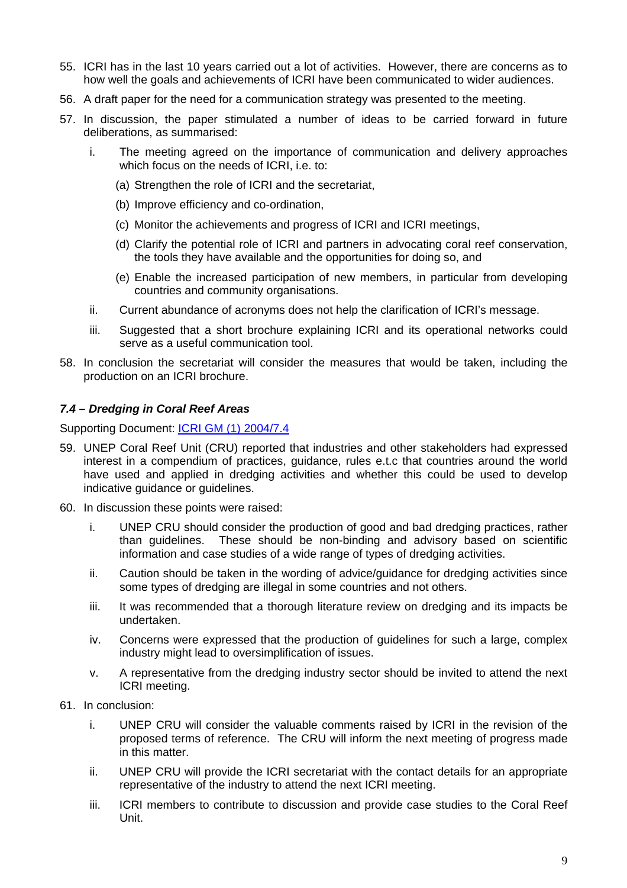- 55. ICRI has in the last 10 years carried out a lot of activities. However, there are concerns as to how well the goals and achievements of ICRI have been communicated to wider audiences.
- 56. A draft paper for the need for a communication strategy was presented to the meeting.
- 57. In discussion, the paper stimulated a number of ideas to be carried forward in future deliberations, as summarised:
	- i. The meeting agreed on the importance of communication and delivery approaches which focus on the needs of ICRI, i.e. to:
		- (a) Strengthen the role of ICRI and the secretariat,
		- (b) Improve efficiency and co-ordination,
		- (c) Monitor the achievements and progress of ICRI and ICRI meetings,
		- (d) Clarify the potential role of ICRI and partners in advocating coral reef conservation, the tools they have available and the opportunities for doing so, and
		- (e) Enable the increased participation of new members, in particular from developing countries and community organisations.
	- ii. Current abundance of acronyms does not help the clarification of ICRI's message.
	- iii. Suggested that a short brochure explaining ICRI and its operational networks could serve as a useful communication tool.
- 58. In conclusion the secretariat will consider the measures that would be taken, including the production on an ICRI brochure.

#### *7.4 – Dredging in Coral Reef Areas*

Supporting Document: **ICRI GM (1) 2004/7.4** 

- 59. UNEP Coral Reef Unit (CRU) reported that industries and other stakeholders had expressed interest in a compendium of practices, guidance, rules e.t.c that countries around the world have used and applied in dredging activities and whether this could be used to develop indicative guidance or guidelines.
- 60. In discussion these points were raised:
	- i. UNEP CRU should consider the production of good and bad dredging practices, rather than guidelines. These should be non-binding and advisory based on scientific information and case studies of a wide range of types of dredging activities.
	- ii. Caution should be taken in the wording of advice/guidance for dredging activities since some types of dredging are illegal in some countries and not others.
	- iii. It was recommended that a thorough literature review on dredging and its impacts be undertaken.
	- iv. Concerns were expressed that the production of guidelines for such a large, complex industry might lead to oversimplification of issues.
	- v. A representative from the dredging industry sector should be invited to attend the next ICRI meeting.
- 61. In conclusion:
	- i. UNEP CRU will consider the valuable comments raised by ICRI in the revision of the proposed terms of reference. The CRU will inform the next meeting of progress made in this matter.
	- ii. UNEP CRU will provide the ICRI secretariat with the contact details for an appropriate representative of the industry to attend the next ICRI meeting.
	- iii. ICRI members to contribute to discussion and provide case studies to the Coral Reef Unit.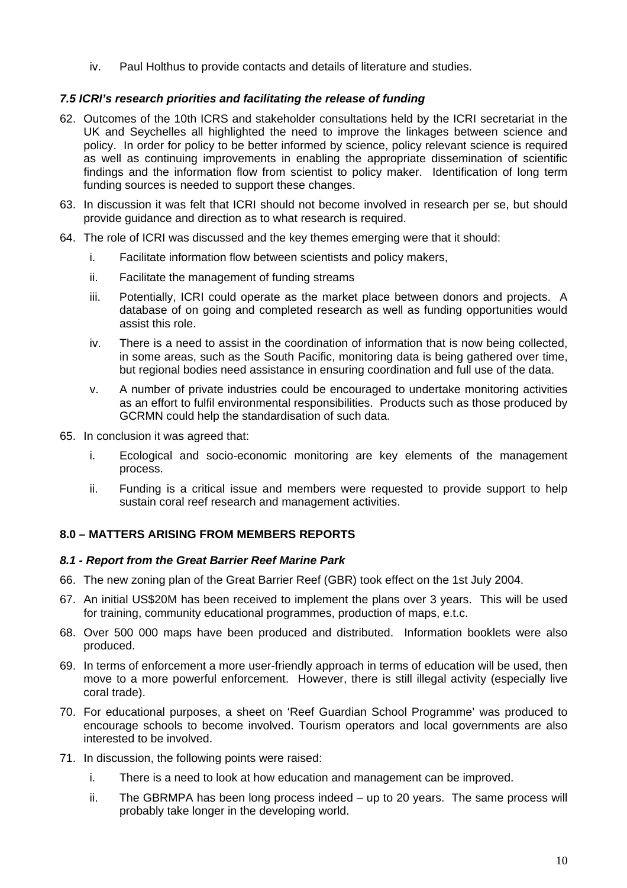iv. Paul Holthus to provide contacts and details of literature and studies.

# *7.5 ICRI's research priorities and facilitating the release of funding*

- 62. Outcomes of the 10th ICRS and stakeholder consultations held by the ICRI secretariat in the UK and Seychelles all highlighted the need to improve the linkages between science and policy. In order for policy to be better informed by science, policy relevant science is required as well as continuing improvements in enabling the appropriate dissemination of scientific findings and the information flow from scientist to policy maker. Identification of long term funding sources is needed to support these changes.
- 63. In discussion it was felt that ICRI should not become involved in research per se, but should provide guidance and direction as to what research is required.
- 64. The role of ICRI was discussed and the key themes emerging were that it should:
	- i. Facilitate information flow between scientists and policy makers,
	- ii. Facilitate the management of funding streams
	- iii. Potentially, ICRI could operate as the market place between donors and projects. A database of on going and completed research as well as funding opportunities would assist this role.
	- iv. There is a need to assist in the coordination of information that is now being collected, in some areas, such as the South Pacific, monitoring data is being gathered over time, but regional bodies need assistance in ensuring coordination and full use of the data.
	- v. A number of private industries could be encouraged to undertake monitoring activities as an effort to fulfil environmental responsibilities. Products such as those produced by GCRMN could help the standardisation of such data.
- 65. In conclusion it was agreed that:
	- i. Ecological and socio-economic monitoring are key elements of the management process.
	- ii. Funding is a critical issue and members were requested to provide support to help sustain coral reef research and management activities.

# **8.0 – MATTERS ARISING FROM MEMBERS REPORTS**

# *8.1 - Report from the Great Barrier Reef Marine Park*

- 66. The new zoning plan of the Great Barrier Reef (GBR) took effect on the 1st July 2004.
- 67. An initial US\$20M has been received to implement the plans over 3 years. This will be used for training, community educational programmes, production of maps, e.t.c.
- 68. Over 500 000 maps have been produced and distributed. Information booklets were also produced.
- 69. In terms of enforcement a more user-friendly approach in terms of education will be used, then move to a more powerful enforcement. However, there is still illegal activity (especially live coral trade).
- 70. For educational purposes, a sheet on 'Reef Guardian School Programme' was produced to encourage schools to become involved. Tourism operators and local governments are also interested to be involved.
- 71. In discussion, the following points were raised:
	- i. There is a need to look at how education and management can be improved.
	- ii. The GBRMPA has been long process indeed up to 20 years. The same process will probably take longer in the developing world.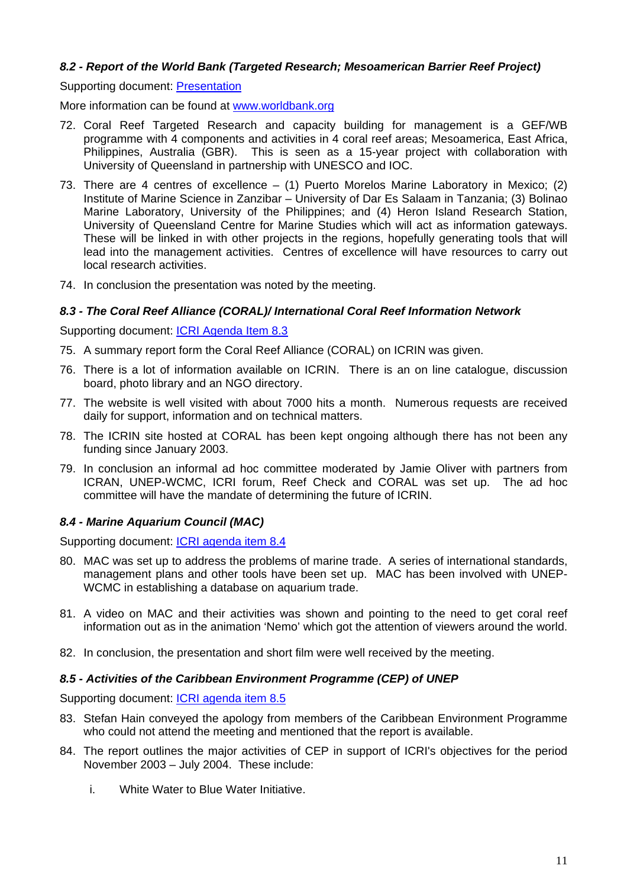### *8.2 - Report of the World Bank (Targeted Research; Mesoamerican Barrier Reef Project)*

Supporting document: [Presentation](http://www.icriforum.org/secretariat/okidoc/WB_targeted_research.ppt)

More information can be found at [www.worldbank.org](http://www.worldbank.org/)

- 72. Coral Reef Targeted Research and capacity building for management is a GEF/WB programme with 4 components and activities in 4 coral reef areas; Mesoamerica, East Africa, Philippines, Australia (GBR). This is seen as a 15-year project with collaboration with University of Queensland in partnership with UNESCO and IOC.
- 73. There are 4 centres of excellence (1) Puerto Morelos Marine Laboratory in Mexico; (2) Institute of Marine Science in Zanzibar – University of Dar Es Salaam in Tanzania; (3) Bolinao Marine Laboratory, University of the Philippines; and (4) Heron Island Research Station, University of Queensland Centre for Marine Studies which will act as information gateways. These will be linked in with other projects in the regions, hopefully generating tools that will lead into the management activities. Centres of excellence will have resources to carry out local research activities.
- 74. In conclusion the presentation was noted by the meeting.

#### *8.3 - The Coral Reef Alliance (CORAL)/ International Coral Reef Information Network*

Supporting document: [ICRI Agenda Item 8.3](http://www.icriforum.org/secretariat/okidoc/83_CORAL_report.pdf)

- 75. A summary report form the Coral Reef Alliance (CORAL) on ICRIN was given.
- 76. There is a lot of information available on ICRIN. There is an on line catalogue, discussion board, photo library and an NGO directory.
- 77. The website is well visited with about 7000 hits a month. Numerous requests are received daily for support, information and on technical matters.
- 78. The ICRIN site hosted at CORAL has been kept ongoing although there has not been any funding since January 2003.
- 79. In conclusion an informal ad hoc committee moderated by Jamie Oliver with partners from ICRAN, UNEP-WCMC, ICRI forum, Reef Check and CORAL was set up. The ad hoc committee will have the mandate of determining the future of ICRIN.

# *8.4 - Marine Aquarium Council (MAC)*

Supporting document: **ICRI agenda item 8.4** 

- 80. MAC was set up to address the problems of marine trade. A series of international standards, management plans and other tools have been set up. MAC has been involved with UNEP-WCMC in establishing a database on aquarium trade.
- 81. A video on MAC and their activities was shown and pointing to the need to get coral reef information out as in the animation 'Nemo' which got the attention of viewers around the world.
- 82. In conclusion, the presentation and short film were well received by the meeting.

#### *8.5 - Activities of the Caribbean Environment Programme (CEP) of UNEP*

Supporting document: [ICRI agenda item 8.5](http://www.icriforum.org/secretariat/okidoc/85_CEP_Report.pdf)

- 83. Stefan Hain conveyed the apology from members of the Caribbean Environment Programme who could not attend the meeting and mentioned that the report is available.
- 84. The report outlines the major activities of CEP in support of ICRI's objectives for the period November 2003 – July 2004. These include:
	- i. White Water to Blue Water Initiative.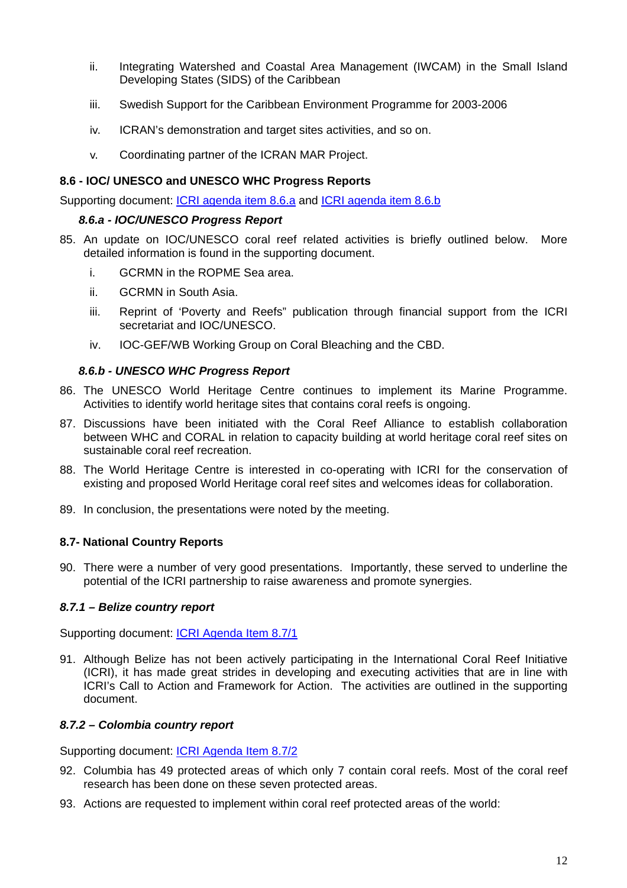- ii. Integrating Watershed and Coastal Area Management (IWCAM) in the Small Island Developing States (SIDS) of the Caribbean
- iii. Swedish Support for the Caribbean Environment Programme for 2003-2006
- iv. ICRAN's demonstration and target sites activities, and so on.
- v. Coordinating partner of the ICRAN MAR Project.

### **8.6 - IOC/ UNESCO and UNESCO WHC Progress Reports**

Supporting document: [ICRI agenda item 8.6.a](http://www.icriforum.org/secretariat/okidoc/86a_IOC_report.pdf) and [ICRI agenda item 8.6.b](http://www.icriforum.org/secretariat/okidoc/86b_whc_progress.pdf)

### *8.6.a - IOC/UNESCO Progress Report*

- 85. An update on IOC/UNESCO coral reef related activities is briefly outlined below. More detailed information is found in the supporting document.
	- i. GCRMN in the ROPME Sea area.
	- ii. GCRMN in South Asia.
	- iii. Reprint of 'Poverty and Reefs" publication through financial support from the ICRI secretariat and IOC/UNESCO.
	- iv. IOC-GEF/WB Working Group on Coral Bleaching and the CBD.

### *8.6.b - UNESCO WHC Progress Report*

- 86. The UNESCO World Heritage Centre continues to implement its Marine Programme. Activities to identify world heritage sites that contains coral reefs is ongoing.
- 87. Discussions have been initiated with the Coral Reef Alliance to establish collaboration between WHC and CORAL in relation to capacity building at world heritage coral reef sites on sustainable coral reef recreation.
- 88. The World Heritage Centre is interested in co-operating with ICRI for the conservation of existing and proposed World Heritage coral reef sites and welcomes ideas for collaboration.
- 89. In conclusion, the presentations were noted by the meeting.

# **8.7- National Country Reports**

90. There were a number of very good presentations. Importantly, these served to underline the potential of the ICRI partnership to raise awareness and promote synergies.

# *8.7.1 – Belize country report*

Supporting document: [ICRI Agenda Item 8.7/1](http://www.icriforum.org/secretariat/okidoc/871_belize_country_report.pdf)

91. Although Belize has not been actively participating in the International Coral Reef Initiative (ICRI), it has made great strides in developing and executing activities that are in line with ICRI's Call to Action and Framework for Action. The activities are outlined in the supporting document.

# *8.7.2 – Colombia country report*

Supporting document: **ICRI Agenda Item 8.7/2** 

- 92. Columbia has 49 protected areas of which only 7 contain coral reefs. Most of the coral reef research has been done on these seven protected areas.
- 93. Actions are requested to implement within coral reef protected areas of the world: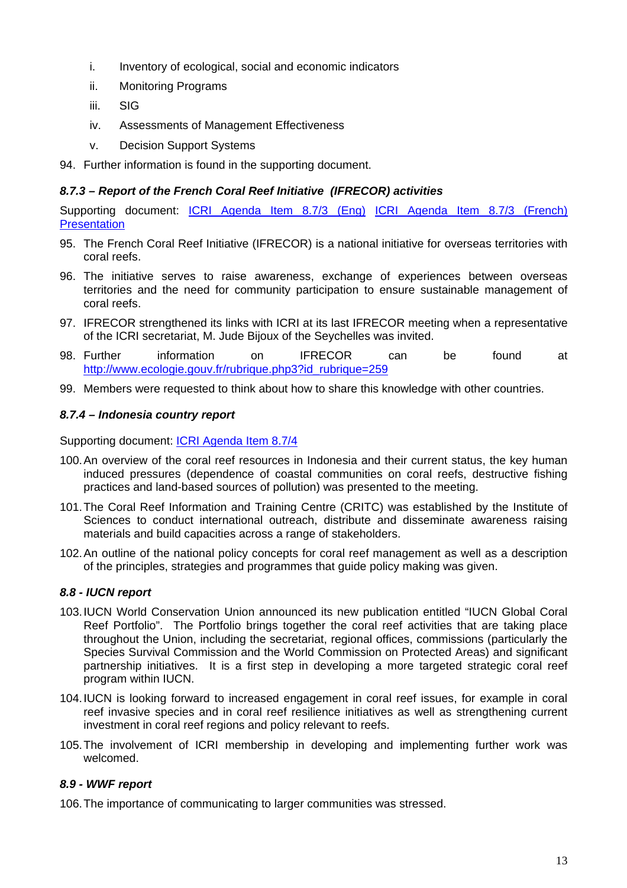- i. Inventory of ecological, social and economic indicators
- ii. Monitoring Programs
- iii. SIG
- iv. Assessments of Management Effectiveness
- v. Decision Support Systems
- 94. Further information is found in the supporting document.

# *8.7.3 – Report of the French Coral Reef Initiative (IFRECOR) activities*

Supporting document: [ICRI Agenda Item 8.7/3 \(Eng\)](http://www.icriforum.org/secretariat/okidoc/873_IFRECOR_English.pdf) [ICRI Agenda Item 8.7/3 \(French\)](http://www.icriforum.org/secretariat/okidoc/873_IFRECOR_French.pdf) **[Presentation](http://www.icriforum.org/secretariat/okidoc/IFRECOR1.ppt)** 

- 95. The French Coral Reef Initiative (IFRECOR) is a national initiative for overseas territories with coral reefs.
- 96. The initiative serves to raise awareness, exchange of experiences between overseas territories and the need for community participation to ensure sustainable management of coral reefs.
- 97. IFRECOR strengthened its links with ICRI at its last IFRECOR meeting when a representative of the ICRI secretariat, M. Jude Bijoux of the Seychelles was invited.
- 98. Further information on IFRECOR can be found at [http://www.ecologie.gouv.fr/rubrique.php3?id\\_rubrique=259](http://www.ecologie.gouv.fr/rubrique.php3?id_rubrique=259)
- 99. Members were requested to think about how to share this knowledge with other countries.

### *8.7.4 – Indonesia country report*

Supporting document: [ICRI Agenda Item 8.7/4](http://www.icriforum.org/secretariat/okidoc/874_Indonesian_CR.pdf)

- 100. An overview of the coral reef resources in Indonesia and their current status, the key human induced pressures (dependence of coastal communities on coral reefs, destructive fishing practices and land-based sources of pollution) was presented to the meeting.
- 101. The Coral Reef Information and Training Centre (CRITC) was established by the Institute of Sciences to conduct international outreach, distribute and disseminate awareness raising materials and build capacities across a range of stakeholders.
- 102. An outline of the national policy concepts for coral reef management as well as a description of the principles, strategies and programmes that guide policy making was given.

#### *8.8 - IUCN report*

- 103. IUCN World Conservation Union announced its new publication entitled "IUCN Global Coral Reef Portfolio". The Portfolio brings together the coral reef activities that are taking place throughout the Union, including the secretariat, regional offices, commissions (particularly the Species Survival Commission and the World Commission on Protected Areas) and significant partnership initiatives. It is a first step in developing a more targeted strategic coral reef program within IUCN.
- 104. IUCN is looking forward to increased engagement in coral reef issues, for example in coral reef invasive species and in coral reef resilience initiatives as well as strengthening current investment in coral reef regions and policy relevant to reefs.
- 105. The involvement of ICRI membership in developing and implementing further work was welcomed.

#### *8.9 - WWF report*

106. The importance of communicating to larger communities was stressed.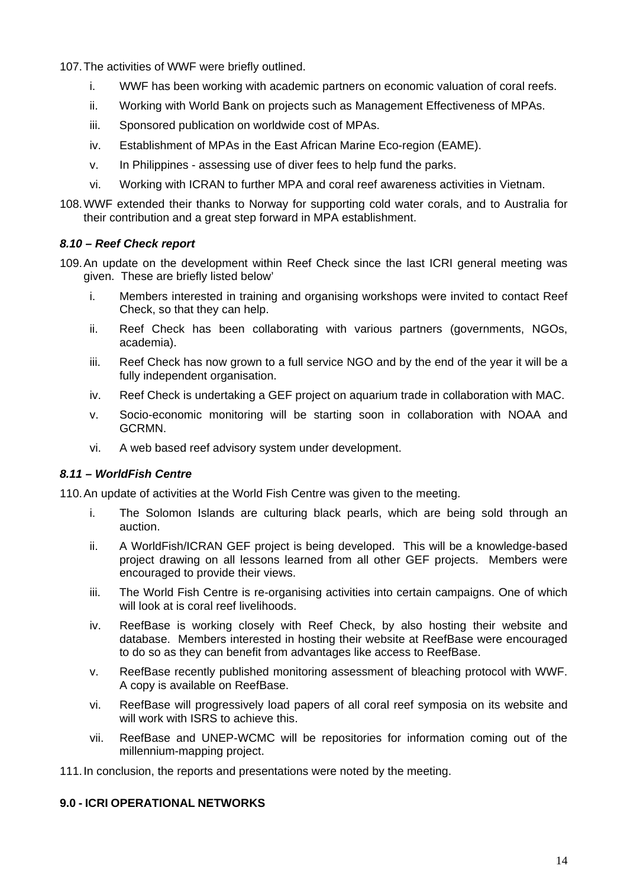107. The activities of WWF were briefly outlined.

- i. WWF has been working with academic partners on economic valuation of coral reefs.
- ii. Working with World Bank on projects such as Management Effectiveness of MPAs.
- iii. Sponsored publication on worldwide cost of MPAs.
- iv. Establishment of MPAs in the East African Marine Eco-region (EAME).
- v. In Philippines assessing use of diver fees to help fund the parks.
- vi. Working with ICRAN to further MPA and coral reef awareness activities in Vietnam.
- 108. WWF extended their thanks to Norway for supporting cold water corals, and to Australia for their contribution and a great step forward in MPA establishment.

### *8.10 – Reef Check report*

- 109. An update on the development within Reef Check since the last ICRI general meeting was given. These are briefly listed below'
	- i. Members interested in training and organising workshops were invited to contact Reef Check, so that they can help.
	- ii. Reef Check has been collaborating with various partners (governments, NGOs, academia).
	- iii. Reef Check has now grown to a full service NGO and by the end of the year it will be a fully independent organisation.
	- iv. Reef Check is undertaking a GEF project on aquarium trade in collaboration with MAC.
	- v. Socio-economic monitoring will be starting soon in collaboration with NOAA and GCRMN.
	- vi. A web based reef advisory system under development.

# *8.11 – WorldFish Centre*

110. An update of activities at the World Fish Centre was given to the meeting.

- i. The Solomon Islands are culturing black pearls, which are being sold through an auction.
- ii. A WorldFish/ICRAN GEF project is being developed. This will be a knowledge-based project drawing on all lessons learned from all other GEF projects. Members were encouraged to provide their views.
- iii. The World Fish Centre is re-organising activities into certain campaigns. One of which will look at is coral reef livelihoods.
- iv. ReefBase is working closely with Reef Check, by also hosting their website and database. Members interested in hosting their website at ReefBase were encouraged to do so as they can benefit from advantages like access to ReefBase.
- v. ReefBase recently published monitoring assessment of bleaching protocol with WWF. A copy is available on ReefBase.
- vi. ReefBase will progressively load papers of all coral reef symposia on its website and will work with ISRS to achieve this.
- vii. ReefBase and UNEP-WCMC will be repositories for information coming out of the millennium-mapping project.

111. In conclusion, the reports and presentations were noted by the meeting.

### **9.0 - ICRI OPERATIONAL NETWORKS**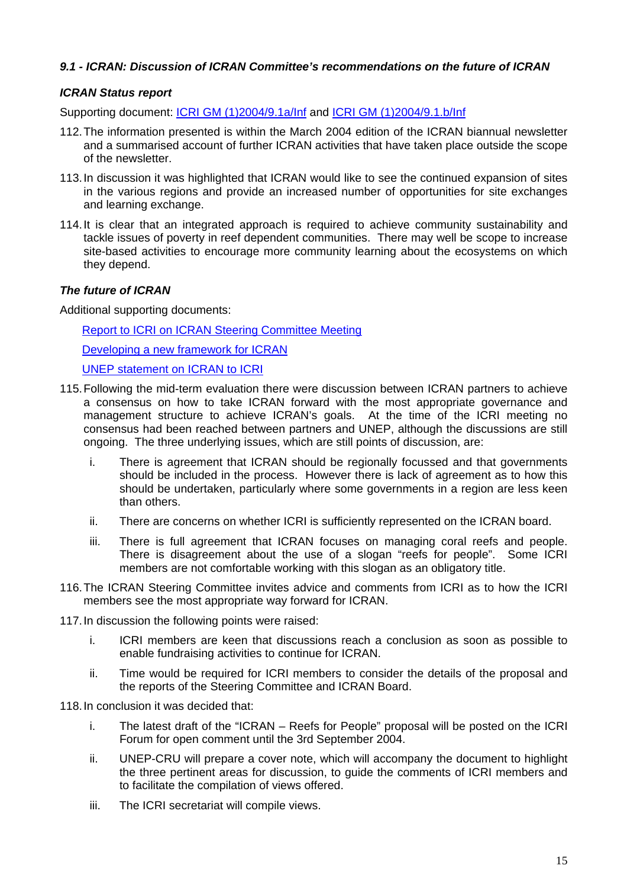# *9.1 - ICRAN: Discussion of ICRAN Committee's recommendations on the future of ICRAN*

# *ICRAN Status report*

Supporting document: [ICRI GM \(1\)2004/9.1a/Inf](http://www.icriforum.org/secretariat/okidoc/91a_ICRAN_progress_update.pdf) and ICRI GM (1)2004/9.1.b/Inf

- 112. The information presented is within the March 2004 edition of the ICRAN biannual newsletter and a summarised account of further ICRAN activities that have taken place outside the scope of the newsletter.
- 113. In discussion it was highlighted that ICRAN would like to see the continued expansion of sites in the various regions and provide an increased number of opportunities for site exchanges and learning exchange.
- 114. It is clear that an integrated approach is required to achieve community sustainability and tackle issues of poverty in reef dependent communities. There may well be scope to increase site-based activities to encourage more community learning about the ecosystems on which they depend.

### *The future of ICRAN*

Additional supporting documents:

[Report to ICRI on ICRAN Steering Committee Meeting](http://www.icriforum.org/secretariat/okidoc/Report_to_ICRIonICRANSCmeeting07_2004.pdf)

[Developing a new framework for ICRAN](http://www.icriforum.org/secretariat/okidoc/Report_to_ICRIonICRANSCmeeting07_2004.pdf)

[UNEP statement on ICRAN to ICRI](http://www.icriforum.org/secretariat/okidoc/Developing_frameworkforICRAN07_2004.pdf)

- 115. Following the mid-term evaluation there were discussion between ICRAN partners to achieve a consensus on how to take ICRAN forward with the most appropriate governance and management structure to achieve ICRAN's goals. At the time of the ICRI meeting no consensus had been reached between partners and UNEP, although the discussions are still ongoing. The three underlying issues, which are still points of discussion, are:
	- i. There is agreement that ICRAN should be regionally focussed and that governments should be included in the process. However there is lack of agreement as to how this should be undertaken, particularly where some governments in a region are less keen than others.
	- ii. There are concerns on whether ICRI is sufficiently represented on the ICRAN board.
	- iii. There is full agreement that ICRAN focuses on managing coral reefs and people. There is disagreement about the use of a slogan "reefs for people". Some ICRI members are not comfortable working with this slogan as an obligatory title.
- 116. The ICRAN Steering Committee invites advice and comments from ICRI as to how the ICRI members see the most appropriate way forward for ICRAN.
- 117. In discussion the following points were raised:
	- i. ICRI members are keen that discussions reach a conclusion as soon as possible to enable fundraising activities to continue for ICRAN.
	- ii. Time would be required for ICRI members to consider the details of the proposal and the reports of the Steering Committee and ICRAN Board.

118. In conclusion it was decided that:

- i. The latest draft of the "ICRAN Reefs for People" proposal will be posted on the ICRI Forum for open comment until the 3rd September 2004.
- ii. UNEP-CRU will prepare a cover note, which will accompany the document to highlight the three pertinent areas for discussion, to guide the comments of ICRI members and to facilitate the compilation of views offered.
- iii. The ICRI secretariat will compile views.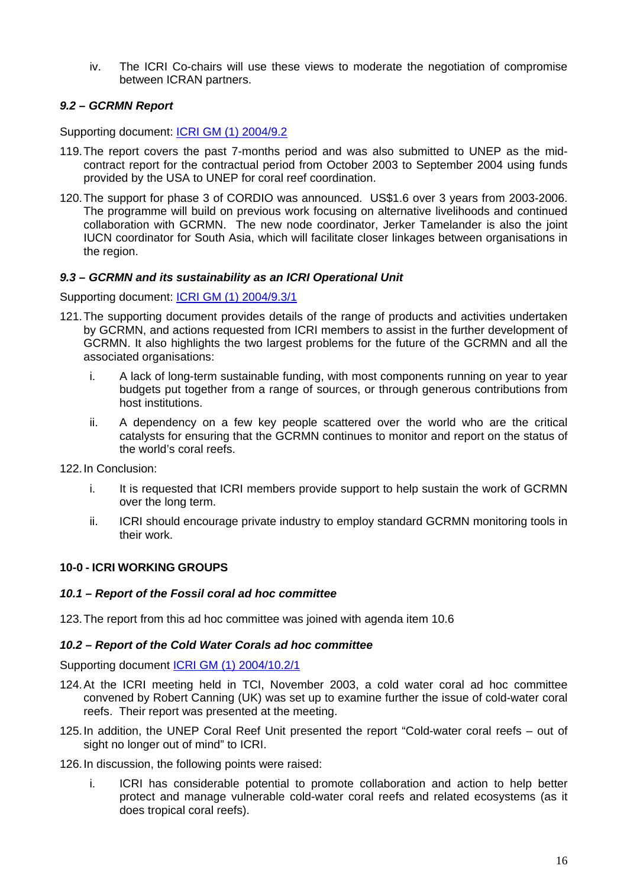iv. The ICRI Co-chairs will use these views to moderate the negotiation of compromise between ICRAN partners.

# *9.2 – GCRMN Report*

Supporting document: [ICRI GM \(1\) 2004/9.2](http://www.icriforum.org/secretariat/okidoc/92_GCRMN.pdf)

- 119. The report covers the past 7-months period and was also submitted to UNEP as the midcontract report for the contractual period from October 2003 to September 2004 using funds provided by the USA to UNEP for coral reef coordination.
- 120. The support for phase 3 of CORDIO was announced. US\$1.6 over 3 years from 2003-2006. The programme will build on previous work focusing on alternative livelihoods and continued collaboration with GCRMN. The new node coordinator, Jerker Tamelander is also the joint IUCN coordinator for South Asia, which will facilitate closer linkages between organisations in the region.

### *9.3 – GCRMN and its sustainability as an ICRI Operational Unit*

Supporting document: [ICRI GM \(1\) 2004/9.3/1](http://www.icriforum.org/secretariat/okidoc/93_GCRMN_Future_statement.pdf)

- 121. The supporting document provides details of the range of products and activities undertaken by GCRMN, and actions requested from ICRI members to assist in the further development of GCRMN. It also highlights the two largest problems for the future of the GCRMN and all the associated organisations:
	- i. A lack of long-term sustainable funding, with most components running on year to year budgets put together from a range of sources, or through generous contributions from host institutions.
	- ii. A dependency on a few key people scattered over the world who are the critical catalysts for ensuring that the GCRMN continues to monitor and report on the status of the world's coral reefs.

122. In Conclusion:

- i. It is requested that ICRI members provide support to help sustain the work of GCRMN over the long term.
- ii. ICRI should encourage private industry to employ standard GCRMN monitoring tools in their work.

# **10-0 - ICRI WORKING GROUPS**

#### *10.1 – Report of the Fossil coral ad hoc committee*

123. The report from this ad hoc committee was joined with agenda item 10.6

#### *10.2 – Report of the Cold Water Corals ad hoc committee*

Supporting document [ICRI GM \(1\) 2004/10.2/1](http://www.icriforum.org/secretariat/okidoc/102_ICRIcoldwatercorals.pdf)

- 124. At the ICRI meeting held in TCI, November 2003, a cold water coral ad hoc committee convened by Robert Canning (UK) was set up to examine further the issue of cold-water coral reefs. Their report was presented at the meeting.
- 125. In addition, the UNEP Coral Reef Unit presented the report "Cold-water coral reefs out of sight no longer out of mind" to ICRI.
- 126. In discussion, the following points were raised:
	- i. ICRI has considerable potential to promote collaboration and action to help better protect and manage vulnerable cold-water coral reefs and related ecosystems (as it does tropical coral reefs).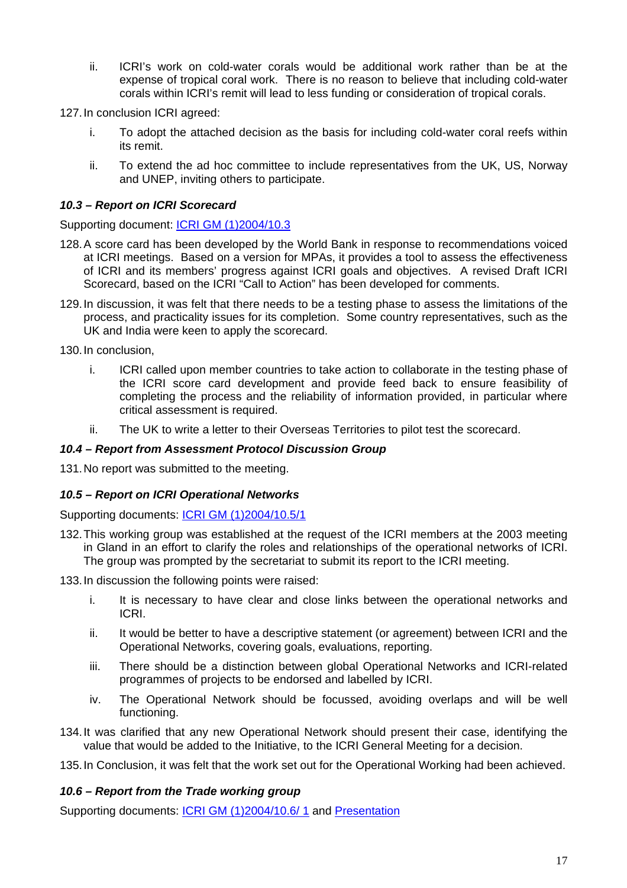ii. ICRI's work on cold-water corals would be additional work rather than be at the expense of tropical coral work. There is no reason to believe that including cold-water corals within ICRI's remit will lead to less funding or consideration of tropical corals.

127. In conclusion ICRI agreed:

- i. To adopt the attached decision as the basis for including cold-water coral reefs within its remit.
- ii. To extend the ad hoc committee to include representatives from the UK, US, Norway and UNEP, inviting others to participate.

# *10.3 – Report on ICRI Scorecard*

Supporting document: [ICRI GM \(1\)2004/10.3](http://www.icriforum.org/secretariat/okidoc/103_ICRI_SCORECard.pdf)

- 128. A score card has been developed by the World Bank in response to recommendations voiced at ICRI meetings. Based on a version for MPAs, it provides a tool to assess the effectiveness of ICRI and its members' progress against ICRI goals and objectives. A revised Draft ICRI Scorecard, based on the ICRI "Call to Action" has been developed for comments.
- 129. In discussion, it was felt that there needs to be a testing phase to assess the limitations of the process, and practicality issues for its completion. Some country representatives, such as the UK and India were keen to apply the scorecard.

130. In conclusion,

- i. ICRI called upon member countries to take action to collaborate in the testing phase of the ICRI score card development and provide feed back to ensure feasibility of completing the process and the reliability of information provided, in particular where critical assessment is required.
- ii. The UK to write a letter to their Overseas Territories to pilot test the scorecard.

#### *10.4 – Report from Assessment Protocol Discussion Group*

131. No report was submitted to the meeting.

#### *10.5 – Report on ICRI Operational Networks*

Supporting documents: [ICRI GM \(1\)2004/10.5/1](http://www.icriforum.org/secretariat/okidoc/105_ICRI_Networks_WG_report.pdf)

132. This working group was established at the request of the ICRI members at the 2003 meeting in Gland in an effort to clarify the roles and relationships of the operational networks of ICRI. The group was prompted by the secretariat to submit its report to the ICRI meeting.

133. In discussion the following points were raised:

- i. It is necessary to have clear and close links between the operational networks and ICRI.
- ii. It would be better to have a descriptive statement (or agreement) between ICRI and the Operational Networks, covering goals, evaluations, reporting.
- iii. There should be a distinction between global Operational Networks and ICRI-related programmes of projects to be endorsed and labelled by ICRI.
- iv. The Operational Network should be focussed, avoiding overlaps and will be well functioning.
- 134. It was clarified that any new Operational Network should present their case, identifying the value that would be added to the Initiative, to the ICRI General Meeting for a decision.

135. In Conclusion, it was felt that the work set out for the Operational Working had been achieved.

### *10.6 – Report from the Trade working group*

Supporting documents: [ICRI GM \(1\)2004/10.6/ 1](http://www.icriforum.org/secretariat/okidoc/106_ICRI_CPC_Trade.pdf) and [Presentation](http://www.icriforum.org/secretariat/okidoc/International_Trade.ppt)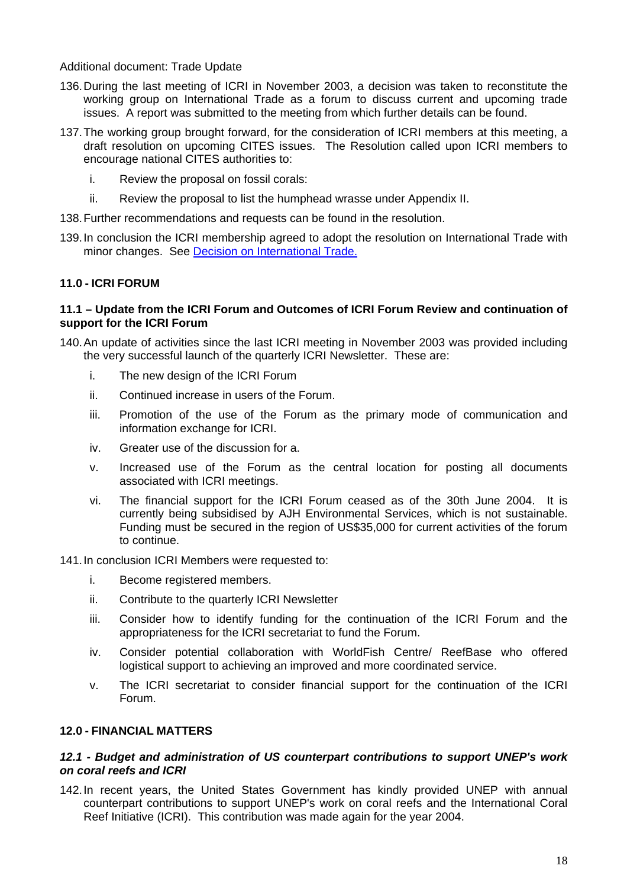#### Additional document: Trade Update

- 136. During the last meeting of ICRI in November 2003, a decision was taken to reconstitute the working group on International Trade as a forum to discuss current and upcoming trade issues. A report was submitted to the meeting from which further details can be found.
- 137. The working group brought forward, for the consideration of ICRI members at this meeting, a draft resolution on upcoming CITES issues. The Resolution called upon ICRI members to encourage national CITES authorities to:
	- i. Review the proposal on fossil corals:
	- ii. Review the proposal to list the humphead wrasse under Appendix II.
- 138. Further recommendations and requests can be found in the resolution.
- 139. In conclusion the ICRI membership agreed to adopt the resolution on International Trade with minor changes. See [Decision on International Trade](http://www.icriforum.org/secretariat/okidoc/Decision_International_Trade07_2004.pdf).

### **11.0 - ICRI FORUM**

#### **11.1 – Update from the ICRI Forum and Outcomes of ICRI Forum Review and continuation of support for the ICRI Forum**

- 140. An update of activities since the last ICRI meeting in November 2003 was provided including the very successful launch of the quarterly ICRI Newsletter. These are:
	- i. The new design of the ICRI Forum
	- ii. Continued increase in users of the Forum.
	- iii. Promotion of the use of the Forum as the primary mode of communication and information exchange for ICRI.
	- iv. Greater use of the discussion for a.
	- v. Increased use of the Forum as the central location for posting all documents associated with ICRI meetings.
	- vi. The financial support for the ICRI Forum ceased as of the 30th June 2004. It is currently being subsidised by AJH Environmental Services, which is not sustainable. Funding must be secured in the region of US\$35,000 for current activities of the forum to continue.

#### 141. In conclusion ICRI Members were requested to:

- i. Become registered members.
- ii. Contribute to the quarterly ICRI Newsletter
- iii. Consider how to identify funding for the continuation of the ICRI Forum and the appropriateness for the ICRI secretariat to fund the Forum.
- iv. Consider potential collaboration with WorldFish Centre/ ReefBase who offered logistical support to achieving an improved and more coordinated service.
- v. The ICRI secretariat to consider financial support for the continuation of the ICRI Forum.

#### **12.0 - FINANCIAL MATTERS**

#### *12.1 - Budget and administration of US counterpart contributions to support UNEP's work on coral reefs and ICRI*

142. In recent years, the United States Government has kindly provided UNEP with annual counterpart contributions to support UNEP's work on coral reefs and the International Coral Reef Initiative (ICRI). This contribution was made again for the year 2004.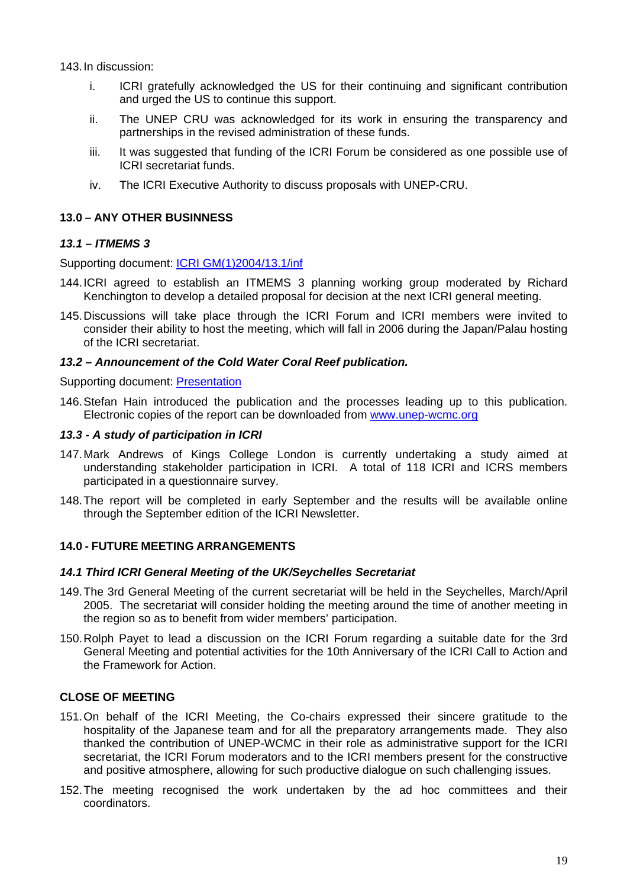143. In discussion:

- i. ICRI gratefully acknowledged the US for their continuing and significant contribution and urged the US to continue this support.
- ii. The UNEP CRU was acknowledged for its work in ensuring the transparency and partnerships in the revised administration of these funds.
- iii. It was suggested that funding of the ICRI Forum be considered as one possible use of ICRI secretariat funds.
- iv. The ICRI Executive Authority to discuss proposals with UNEP-CRU.

#### **13.0 – ANY OTHER BUSINNESS**

#### *13.1 – ITMEMS 3*

Supporting document: [ICRI GM\(1\)2004/13.1/inf](http://www.icriforum.org/secretariat/okidoc/130_ITMEMS3.pdf)

- 144. ICRI agreed to establish an ITMEMS 3 planning working group moderated by Richard Kenchington to develop a detailed proposal for decision at the next ICRI general meeting.
- 145. Discussions will take place through the ICRI Forum and ICRI members were invited to consider their ability to host the meeting, which will fall in 2006 during the Japan/Palau hosting of the ICRI secretariat.

#### *13.2 – Announcement of the Cold Water Coral Reef publication.*

Supporting document: [Presentation](http://www.icriforum.org/secretariat/okidoc/UNEP_CWCR.ppt)

146. Stefan Hain introduced the publication and the processes leading up to this publication. Electronic copies of the report can be downloaded from [www.unep-wcmc.org](http://www.unep-wcmc.org/)

#### *13.3 - A study of participation in ICRI*

- 147. Mark Andrews of Kings College London is currently undertaking a study aimed at understanding stakeholder participation in ICRI. A total of 118 ICRI and ICRS members participated in a questionnaire survey.
- 148. The report will be completed in early September and the results will be available online through the September edition of the ICRI Newsletter.

# **14.0 - FUTURE MEETING ARRANGEMENTS**

#### *14.1 Third ICRI General Meeting of the UK/Seychelles Secretariat*

- 149. The 3rd General Meeting of the current secretariat will be held in the Seychelles, March/April 2005. The secretariat will consider holding the meeting around the time of another meeting in the region so as to benefit from wider members' participation.
- 150. Rolph Payet to lead a discussion on the ICRI Forum regarding a suitable date for the 3rd General Meeting and potential activities for the 10th Anniversary of the ICRI Call to Action and the Framework for Action.

#### **CLOSE OF MEETING**

- 151. On behalf of the ICRI Meeting, the Co-chairs expressed their sincere gratitude to the hospitality of the Japanese team and for all the preparatory arrangements made. They also thanked the contribution of UNEP-WCMC in their role as administrative support for the ICRI secretariat, the ICRI Forum moderators and to the ICRI members present for the constructive and positive atmosphere, allowing for such productive dialogue on such challenging issues.
- 152. The meeting recognised the work undertaken by the ad hoc committees and their coordinators.